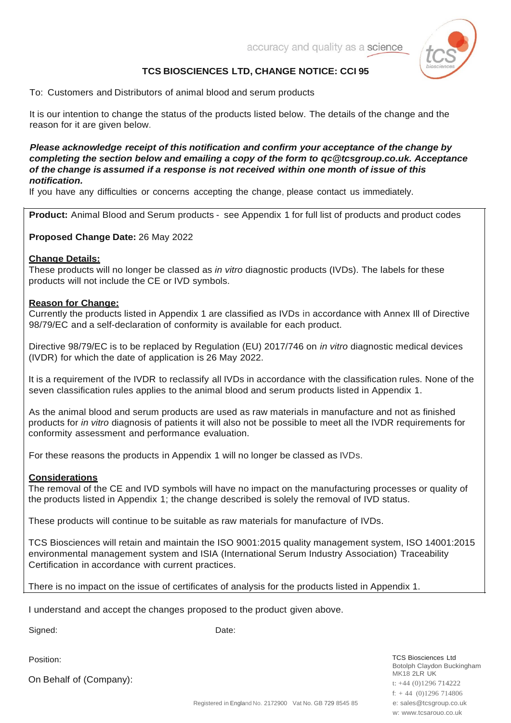

# **TCS BIOSCIENCES LTD, CHANGE NOTICE: CCI 95**

To: Customers and Distributors of animal blood and serum products

It is our intention to change the status of the products listed below. The details of the change and the reason for it are given below.

## *Please acknowledge receipt of this notification and confirm your acceptance of the change by completing the section below and emailing a copy of the form to [qc@tcsgroup.co.uk.](mailto:qc@tcsgroup.co.uk) Acceptance of the change is assumed if a response is not received within one month of issue of this notification.*

If you have any difficulties or concerns accepting the change, please contact us immediately.

**Product:** Animal Blood and Serum products - see Appendix 1 for full list of products and product codes

**Proposed Change Date:** 26 May 2022

## **Change Details:**

These products will no longer be classed as *in vitro* diagnostic products (IVDs). The labels for these products will not include the CE or IVD symbols.

#### **Reason for Change:**

Currently the products listed in Appendix 1 are classified as IVDs in accordance with Annex Ill of Directive 98/79/EC and a self-declaration of conformity is available for each product.

Directive 98/79/EC is to be replaced by Regulation (EU) 2017/746 on *in vitro* diagnostic medical devices (IVDR) for which the date of application is 26 May 2022.

It is a requirement of the IVDR to reclassify all IVDs in accordance with the classification rules. None of the seven classification rules applies to the animal blood and serum products listed in Appendix 1.

As the animal blood and serum products are used as raw materials in manufacture and not as finished products for *in vitro* diagnosis of patients it will also not be possible to meet all the IVDR requirements for conformity assessment and performance evaluation.

For these reasons the products in Appendix 1 will no longer be classed as IVDs.

## **Considerations**

The removal of the CE and IVD symbols will have no impact on the manufacturing processes or quality of the products listed in Appendix 1; the change described is solely the removal of IVD status.

These products will continue to be suitable as raw materials for manufacture of IVDs.

TCS Biosciences will retain and maintain the ISO 9001:2015 quality management system, ISO 14001:2015 environmental management system and ISIA (International Serum Industry Association) Traceability Certification in accordance with current practices.

There is no impact on the issue of certificates of analysis for the products listed in Appendix 1.

I understand and accept the changes proposed to the product given above.

Signed: Date:

Position:

On Behalf of (Company):

TCS Biosciences Ltd Botolph Claydon Buckingham **MK18 2LR UK** t: +44 (0)1296 714222 f: + 44 (0)1296 714806 e: [sales@tcsgroup.co.uk](mailto:sales@tcsgroup.co.uk) w: [www.tcsarouo.co.uk](http://www.tcsarouo.co.uk/)